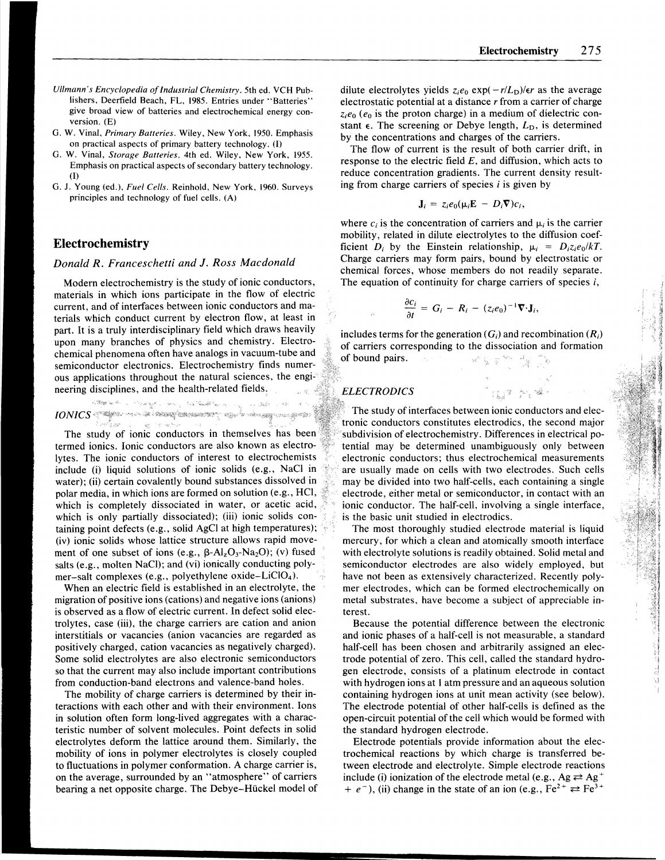- 
- 
- 
- principles and technology of fuel cells. (A) G. J. Young (ed.), *Fuel Cells.* Reinhold, New York, 1960. Surveys

#### *Donald R. Franceschetti and* J. *Ross Macdonald*

materials in which ions participate in the flow of electric *current, and of interfaces between ionic conductors and ma*terials which conduct current by electron flow, at least in part. It is a truly interdisciplinary field which draws heavily includes terms for the generation  $(G_i)$  and recombination  $(R_i)$ upon many branches of physics and chemistry. Electro-<br>chemical phenomena often have analogs in vacuum-tube and<br>of hound pairs chemical phenomena often have analogs in vacuum-tube and of bound pairs. semiconductor electronics. Electrochemistry finds numerous applications throughout the natural sciences, the engineering disciplines, and the health-related fields:

Complete a strange come, the mother to  $\label{eq:1.1} \varphi_{\sigma}=\lim_{\varepsilon\to 0}\frac{\partial}{\partial\sigma}\frac{\partial}{\partial\tau}+\frac{\partial}{\partial\tau}+\delta\Phi^{\varepsilon}.$  $\sim$   $\omega$   $\sim$  $\textit{IONICS} \leqslant \textit{Suppose} \iff \textit{Suppose} \iff \textit{Suppose} \iff \textit{Suppose} \iff \textit{Suppose} \iff \textit{Suppose} \iff \textit{Suppose} \iff \textit{Suppose} \iff \textit{Suppose} \iff \textit{Suppose} \iff \textit{Suppose} \iff \textit{Suppose} \iff \textit{Suppose} \iff \textit{Suppose} \iff \textit{Suppose} \iff \textit{Suppose} \iff \textit{Suppose} \iff \textit{Suppose} \iff \textit{Suppose} \iff \textit{Suppose} \iff \textit{Suppose} \iff \textit{Suppose} \iff \textit{Suppose} \iff \$ 

lytes. The ionic conductors of interest to electrochemists include (i) liquid solutions of ionic solids (e.g., NaCl in  $\frac{1}{2}$  are usually made on cells with two electrodes. Such cells water); (ii) certain covalently bound substances dissolved in  $\frac{1}{2}$  may be divided into two half-cells, each containing a single polar media, in which ions are formed on solution (e.g., HCI,  $\mathbb{R}^d$  electrode, either metal or semiconductor, in contact with an which is completely dissociated in water, or acetic acid,  $\mathbb{R}^n$  ionic conductor. The half-cell, involving a single interface, which is only partially dissociated); (iii) ionic solids con- $\frac{1}{x}$  is the basic unit studied in electrodics. taining point defects (e.g., solid AgCI at high temperatures);  $\frac{1}{2}$  The most thoroughly studied electrode material is liquid (iv) ionic solids whose lattice structure allows rapid move- mercury, for which a clean and atomically smooth interface ment of one subset of ions (e.g.,  $\beta$ -Al<sub>z</sub>O<sub>3</sub>-Na<sub>2</sub>O); (v) fused with electrolyte solutions is readily obtained. Solid metal and salts (e.g., molten NaCl); and (vi) ionically conducting poly- semiconductor electrodes are also widely employed, but

is observed as a flow of electric current. In defect solid elec- terest. trolytes, case (iii), the charge carriers are cation and anion Because the potential difference between the electronic positively charged, cation vacancies as negatively charged). half-cell has been chosen and arbitrarily assigned an elec-Some solid electrolytes are also electronic semiconductors trode potential of zero. This cell, called the standard hydro-

in solution often form long-lived aggregates with a charac- open-circuit potential of the cell which would be formed with teristic number of solvent molecules. Point defects in solid the standard hydrogen electrode. electrolytes deform the lattice around them. Similarly, the Electrode potentials provide information about the elecmobility of ions in polymer electrolytes is closely coupled trochemical reactions by which charge is transferred beto fluctuations in polymer conformation. A charge carrier is, tween electrode and electrolyte. Simple electrode reactions on the average, surrounded by an "atmosphere" of carriers include (i) ionization of the electrode metal (e.g., Ag  $\rightleftarrows$  Ag<sup>+</sup> bearing a net opposite charge. The Debye-Hückel model of  $+ e^-$ ), (ii) change in the state of an ion (e.g.,  $Fe^{2+} \rightleftarrows Fe^{3+}$ 

*Ullmann's Encyclopedia of Industrial Chemistry.* 5th ed. VCH Pub-<br>lishers, Deerfield Beach, FL, 1985. Entries under "Batteries" electrostatic potential at a distance r from a carrier of charge lishers, Deerfield Beach, FL, 1985. Entries under "Batteries" electrostatic potential at a distance *r* from a carrier of charge give broad view of batteries and electrochemical energy con-<br>version. (E) stant  $\epsilon$ . The screening or Debye length,  $L<sub>D</sub>$ , is determined

G. W. Vinal, Primary Batteries. Wiley, New York, 1950. Emphasis<br>on practical aspects of primary battery technology. (I)<br>G. W. Vinal, *Storage Batteries*, 4th ed. Wiley, New York, 1955.<br>The flow of current is the result of Emphasis on practical aspects of secondary battery technology.<br>
reduce concentration gradients. The current density result-<br>  $\frac{1}{10}$ ing from charge carriers of species *i* is given by

$$
\mathbf{J}_i = z_i e_0 (\mu_i \mathbf{E} - D_i \nabla) c_i,
$$

where  $c_i$  is the concentration of carriers and  $\mu_i$  is the carrier mobility, related in dilute electrolytes to the diffusion coef **Electrochemistry** ficient  $D_i$  by the Einstein relationship,  $\mu_i = D_i z_i e_0 / kT$ . Charge carriers may form pairs, bound by electrostatic or chemical forces, whose members do not readily separate. Modern electrochemistry is the study of ionic conductors, The equation of continuity for charge carriers of species *i,* 

$$
\frac{\partial c_i}{\partial t} = G_i - R_i - (z_i e_0)^{-1} \nabla \cdot \mathbf{J}_i,
$$

 $\mathbb{R}^{N_1}$  ,  $\frac{1}{N_1}$  ,  $\frac{1}{N_1}$ 

## **ELECTRODICS**

The study of interfaces between ionic conductors and electronic conductors constitutes electrodics, the second major The study of ionic conductors in themselves has been *S.,c. Subdivision of electrochemistry*. Differences in electrical po-<br>termed ionics. Ionic conductors are also known as electro tential may be determined unambiguously only between . electronic conductors; thus electrochemical measurements

mer-salt complexes (e.g., polyethylene oxide-LiClO<sub>4</sub>).  $\rightarrow$  have not been as extensively characterized. Recently poly-When an electric field is established in an electrolyte, the mer electrodes, which can be formed electrochemically on migration of positive ions (cations) and negative ions (anions) metal substrates, have become a subject of appreciable in-

interstitials or vacancies (anion vacancies are regarded as and ionic phases of a half-cell is not measurable, a standard so that the current may also include important contributions gen electrode, consists of a platinum electrode in contact from conduction-band electrons and valence-band holes. with hydrogen ions at 1atm pressure and an aqueous solution The mobility of charge carriers is determined by their in- containing hydrogen ions at unit mean activity (see below). teractions with each other and with their environment. Ions The electrode potential of other half-cells is defined as the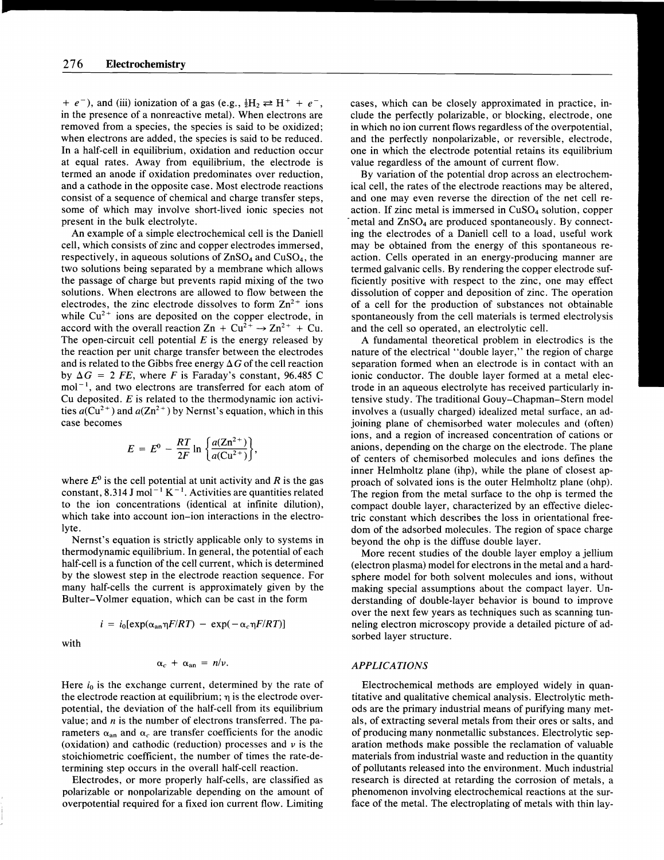+  $e^-$ ), and (iii) ionization of a gas (e.g.,  $\frac{1}{2}H_2 \rightleftarrows H^+ + e^-$ , in the presence of a nonreactive metal). When electrons are removed from a species, the species is said to be oxidized; when electrons are added, the species is said to be reduced. In a half-cell in equilibrium, oxidation and reduction occur at equal rates. Away from equilibrium, the electrode is termed an anode if oxidation predominates over reduction, and a cathode in the opposite case. Most electrode reactions consist of a sequence of chemical and charge transfer steps, some of which may involve short-lived ionic species not present in the bulk electrolyte.

An example of a simple electrochemical cell is the Daniell cell, which consists of zinc and copper electrodes immersed, respectively, in aqueous solutions of  $ZnSO<sub>4</sub>$  and  $CuSO<sub>4</sub>$ , the two solutions being separated by a membrane which allows the passage of charge but prevents rapid mixing of the two solutions. When electrons are allowed to flow between the electrodes, the zinc electrode dissolves to form  $\text{Zn}^{2+}$  ions while  $Cu^{2+}$  ions are deposited on the copper electrode, in accord with the overall reaction  $\text{Zn} + \text{Cu}^{2+} \rightarrow \text{Zn}^{2+} + \text{Cu}$ . The open-circuit cell potential  $E$  is the energy released by the reaction per unit charge transfer between the electrodes and is related to the Gibbs free energy  $\Delta G$  of the cell reaction by  $\Delta G = 2 FE$ , where *F* is Faraday's constant, 96.485 C  $mol<sup>-1</sup>$ , and two electrons are transferred for each atom of Cu deposited.  $E$  is related to the thermodynamic ion activities  $a$ ( $Cu<sup>2+</sup>$ ) and  $a(Zn<sup>2+</sup>)$  by Nernst's equation, which in this case becomes

$$
E = E^{0} - \frac{RT}{2F} \ln \left\{ \frac{a(Zn^{2+})}{a(Cu^{2+})} \right\},\,
$$

where  $E^0$  is the cell potential at unit activity and  $R$  is the gas constant, 8.314 J mol<sup> $-1$ </sup> K<sup> $-1$ </sup>. Activities are quantities related to the ion concentrations (identical at infinite dilution), which take into account ion-ion interactions in the electrolyte.

Nernst's equation is strictly applicable only to systems in thermodynamic equilibrium. In general, the potential of each half-cell is a function of the cell current, which is determined by the slowest step in the electrode reaction sequence. For many half-cells the current is approximately given by the Bulter-Volmer equation, which can be cast in the form

with

$$
\alpha_c + \alpha_{an} = n/\nu.
$$

 $i = i_0 [\exp(\alpha_{an} \eta F/RT) - \exp(-\alpha_c \eta F/RT)]$ 

Here  $i_0$  is the exchange current, determined by the rate of the electrode reaction at equilibrium;  $\eta$  is the electrode overpotential, the deviation of the half-cell from its equilibrium value; and *n* is the number of electrons transferred. The parameters  $\alpha_{an}$  and  $\alpha_c$  are transfer coefficients for the anodic (oxidation) and cathodic (reduction) processes and *v* is the stoichiometric coefficient, the number of times the rate-determining step occurs in the overall half-cell reaction.

Electrodes, or more properly half-cells, are classified as polarizable or nonpolarizable depending on the amount of overpotential required for a fixed ion current flow. Limiting cases, which can be closely approximated in practice, include the perfectly polarizable, or blocking, electrode, one in which no ion current flows regardless of the overpotential, and the perfectly nonpolarizable, or reversible, electrode, one in which the electrode potential retains its equilibrium value regardless of the amount of current flow.

By variation of the potential drop across an electrochemical cell, the rates of the electrode reactions may be altered, and one may even reverse the direction of the net cell reaction. If zinc metal is immersed in CUS04 solution, copper metal and ZnSO<sub>4</sub> are produced spontaneously. By connecting the electrodes of a Daniell cell to a load, useful work may be obtained from the energy of this spontaneous reaction. Cells operated in an energy-producing manner are termed galvanic cells. By rendering the copper electrode sufficiently positive with respect to the zinc, one may effect dissolution of copper and deposition of zinc. The operation of a cell for the production of substances not obtainable spontaneously from the cell materials is termed electrolysis and the cell so operated, an electrolytic cell.

A fundamental theoretical problem in electrodics is the nature of the electrical "double layer," the region of charge separation formed when an electrode is in contact with an ionic conductor. The double layer formed at a metal electrode in an aqueous electrolyte has received particularly intensive study. The traditional Gouy-Chapman-Stern model involves a (usually charged) idealized metal surface, an adjoining plane of chemisorbed water molecules and (often) ions, and a region of increased concentration of cations or anions, depending on the charge on the electrode. The plane of centers of chemisorbed molecules and ions defines the inner Helmholtz plane (ihp), while the plane of closest approach of solvated ions is the outer Helmholtz plane (ohp). The region from the metal surface to the ohp is termed the compact double layer, characterized by an effective dielectric constant which describes the loss in orientational freedom of the adsorbed molecules. The region of space charge beyond the ohp is the diffuse double layer.

More recent studies of the double layer employ a jellium (electron plasma) model for electrons in the metal and a hardsphere model for both solvent molecules and ions, without making special assumptions about the compact layer. Understanding of double-layer behavior is bound to improve over the next few years as techniques such as scanning tunneling electron microscopy provide a detailed picture of adsorbed layer structure.

#### *APPLICATIONS*

Electrochemical methods are employed widely in quantitative and qualitative chemical analysis. Electrolytic methods are the primary industrial means of purifying many metals, of extracting several metals from their ores or salts, and of producing many nonmetallic substances. Electrolytic separation methods make possible the reclamation of valuable materials from industrial waste and reduction in the quantity of pollutants released into the environment. Much industrial research is directed at retarding the corrosion of metals, a phenomenon involving electrochemical reactions at the surface of the metal. The electroplating of metals with thin lay